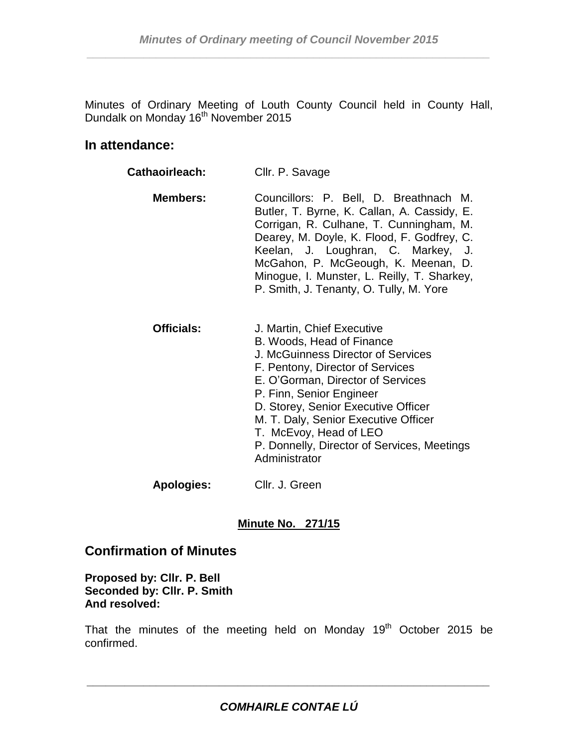Minutes of Ordinary Meeting of Louth County Council held in County Hall, Dundalk on Monday 16<sup>th</sup> November 2015

## **In attendance:**

| <b>Cathaoirleach:</b> | Cllr. P. Savage                                                                                                                                                                                                                                                                                                                                                                    |  |  |
|-----------------------|------------------------------------------------------------------------------------------------------------------------------------------------------------------------------------------------------------------------------------------------------------------------------------------------------------------------------------------------------------------------------------|--|--|
| <b>Members:</b>       | Councillors: P. Bell, D. Breathnach M.<br>Butler, T. Byrne, K. Callan, A. Cassidy, E.<br>Corrigan, R. Culhane, T. Cunningham, M.<br>Dearey, M. Doyle, K. Flood, F. Godfrey, C.<br>Keelan, J. Loughran, C. Markey, J.<br>McGahon, P. McGeough, K. Meenan, D.<br>Minogue, I. Munster, L. Reilly, T. Sharkey,<br>P. Smith, J. Tenanty, O. Tully, M. Yore                              |  |  |
| <b>Officials:</b>     | J. Martin, Chief Executive<br>B. Woods, Head of Finance<br><b>J. McGuinness Director of Services</b><br>F. Pentony, Director of Services<br>E. O'Gorman, Director of Services<br>P. Finn, Senior Engineer<br>D. Storey, Senior Executive Officer<br>M. T. Daly, Senior Executive Officer<br>T. McEvoy, Head of LEO<br>P. Donnelly, Director of Services, Meetings<br>Administrator |  |  |

**Apologies:** Cllr. J. Green

## **Minute No. 271/15**

## **Confirmation of Minutes**

**Proposed by: Cllr. P. Bell Seconded by: Cllr. P. Smith And resolved:**

That the minutes of the meeting held on Monday  $19<sup>th</sup>$  October 2015 be confirmed.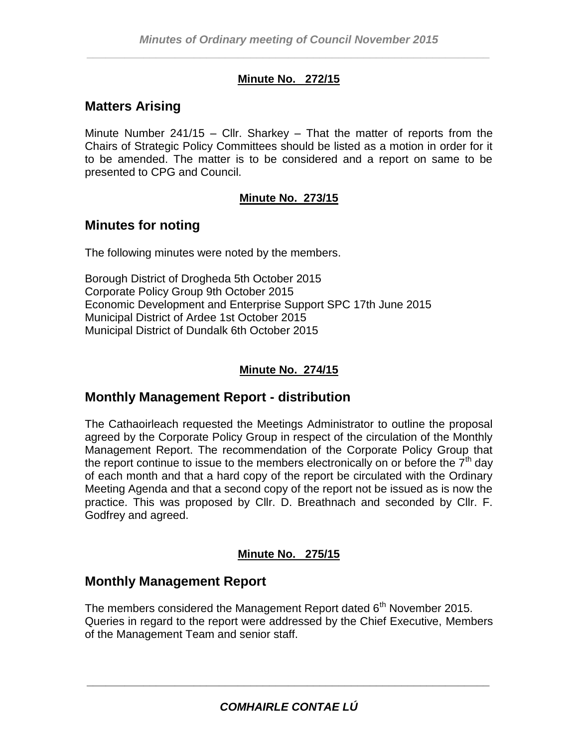## **Minute No. 272/15**

# **Matters Arising**

Minute Number 241/15 – Cllr. Sharkey – That the matter of reports from the Chairs of Strategic Policy Committees should be listed as a motion in order for it to be amended. The matter is to be considered and a report on same to be presented to CPG and Council.

## **Minute No. 273/15**

# **Minutes for noting**

The following minutes were noted by the members.

Borough District of Drogheda 5th October 2015 Corporate Policy Group 9th October 2015 Economic Development and Enterprise Support SPC 17th June 2015 Municipal District of Ardee 1st October 2015 Municipal District of Dundalk 6th October 2015

## **Minute No. 274/15**

# **Monthly Management Report - distribution**

The Cathaoirleach requested the Meetings Administrator to outline the proposal agreed by the Corporate Policy Group in respect of the circulation of the Monthly Management Report. The recommendation of the Corporate Policy Group that the report continue to issue to the members electronically on or before the  $7<sup>th</sup>$  day of each month and that a hard copy of the report be circulated with the Ordinary Meeting Agenda and that a second copy of the report not be issued as is now the practice. This was proposed by Cllr. D. Breathnach and seconded by Cllr. F. Godfrey and agreed.

## **Minute No. 275/15**

## **Monthly Management Report**

The members considered the Management Report dated  $6<sup>th</sup>$  November 2015. Queries in regard to the report were addressed by the Chief Executive, Members of the Management Team and senior staff.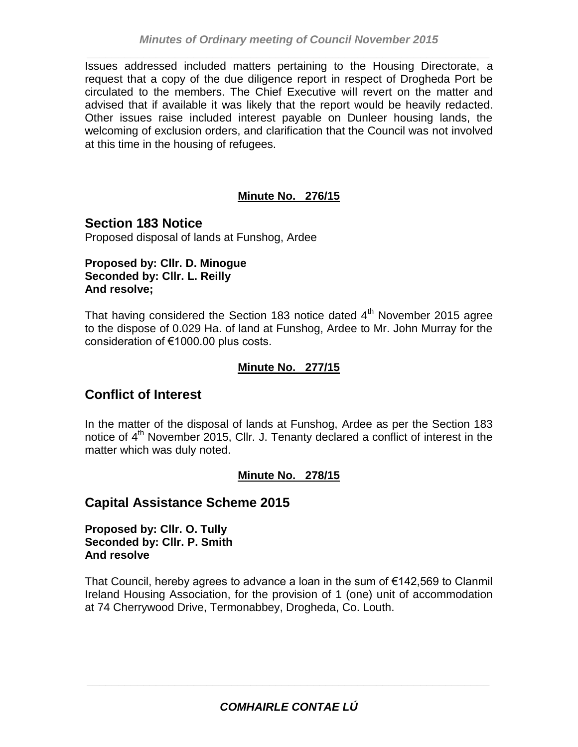Issues addressed included matters pertaining to the Housing Directorate, a request that a copy of the due diligence report in respect of Drogheda Port be circulated to the members. The Chief Executive will revert on the matter and advised that if available it was likely that the report would be heavily redacted. Other issues raise included interest payable on Dunleer housing lands, the welcoming of exclusion orders, and clarification that the Council was not involved at this time in the housing of refugees.

## **Minute No. 276/15**

**Section 183 Notice** Proposed disposal of lands at Funshog, Ardee

#### **Proposed by: Cllr. D. Minogue Seconded by: Cllr. L. Reilly And resolve;**

That having considered the Section 183 notice dated  $4<sup>th</sup>$  November 2015 agree to the dispose of 0.029 Ha. of land at Funshog, Ardee to Mr. John Murray for the consideration of €1000.00 plus costs.

## **Minute No. 277/15**

# **Conflict of Interest**

In the matter of the disposal of lands at Funshog, Ardee as per the Section 183 notice of  $4<sup>th</sup>$  November 2015, Cllr. J. Tenanty declared a conflict of interest in the matter which was duly noted.

## **Minute No. 278/15**

# **Capital Assistance Scheme 2015**

**Proposed by: Cllr. O. Tully Seconded by: Cllr. P. Smith And resolve**

That Council, hereby agrees to advance a loan in the sum of €142,569 to Clanmil Ireland Housing Association, for the provision of 1 (one) unit of accommodation at 74 Cherrywood Drive, Termonabbey, Drogheda, Co. Louth.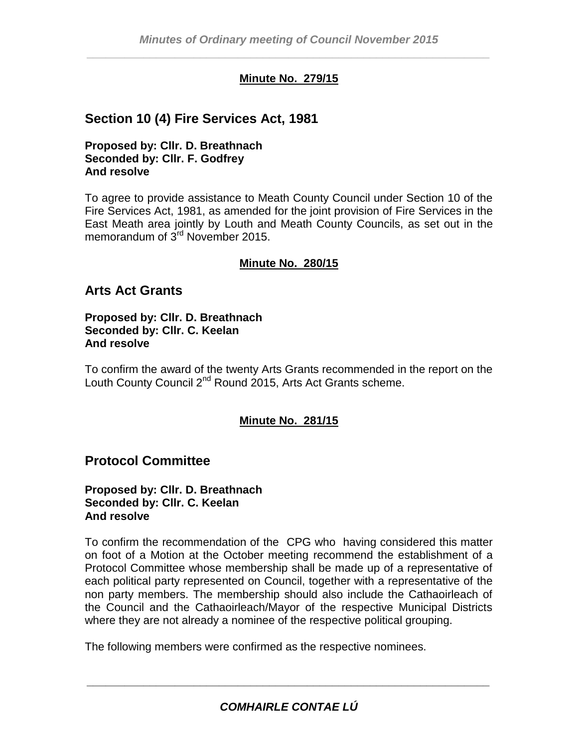## **Minute No. 279/15**

# **Section 10 (4) Fire Services Act, 1981**

**Proposed by: Cllr. D. Breathnach Seconded by: Cllr. F. Godfrey And resolve**

To agree to provide assistance to Meath County Council under Section 10 of the Fire Services Act, 1981, as amended for the joint provision of Fire Services in the East Meath area jointly by Louth and Meath County Councils, as set out in the memorandum of 3<sup>rd</sup> November 2015.

## **Minute No. 280/15**

## **Arts Act Grants**

**Proposed by: Cllr. D. Breathnach Seconded by: Cllr. C. Keelan And resolve**

To confirm the award of the twenty Arts Grants recommended in the report on the Louth County Council 2<sup>nd</sup> Round 2015, Arts Act Grants scheme.

## **Minute No. 281/15**

## **Protocol Committee**

#### **Proposed by: Cllr. D. Breathnach Seconded by: Cllr. C. Keelan And resolve**

To confirm the recommendation of the CPG who having considered this matter on foot of a Motion at the October meeting recommend the establishment of a Protocol Committee whose membership shall be made up of a representative of each political party represented on Council, together with a representative of the non party members. The membership should also include the Cathaoirleach of the Council and the Cathaoirleach/Mayor of the respective Municipal Districts where they are not already a nominee of the respective political grouping.

The following members were confirmed as the respective nominees.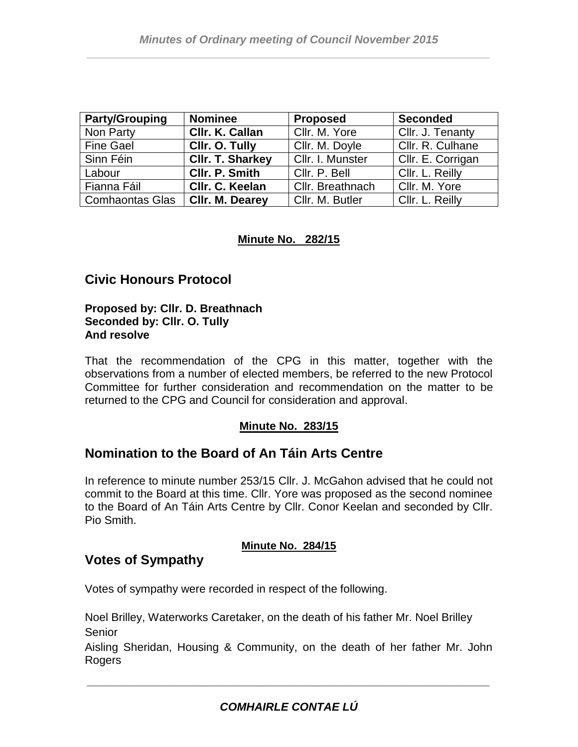| <b>Party/Grouping</b>             | <b>Nominee</b>          | <b>Proposed</b>  | <b>Seconded</b>   |
|-----------------------------------|-------------------------|------------------|-------------------|
| Non Party                         | Cllr. K. Callan         | Cllr. M. Yore    | Cllr. J. Tenanty  |
| <b>Fine Gael</b>                  | Cllr. O. Tully          | Cllr. M. Doyle   | Cllr. R. Culhane  |
| Sinn Féin                         | <b>CIIr. T. Sharkey</b> | Cllr. I. Munster | Cllr. E. Corrigan |
| Labour                            | CIIr. P. Smith          | Cllr. P. Bell    | Cllr. L. Reilly   |
| Fianna Fáil                       | CIIr. C. Keelan         | Cllr. Breathnach | Cllr. M. Yore     |
| Comhaontas Glas   CIIr. M. Dearey |                         | Cllr. M. Butler  | Cllr. L. Reilly   |

#### **Minute No. 282/15**

# **Civic Honours Protocol**

#### **Proposed by: Cllr. D. Breathnach Seconded by: Cllr. O. Tully And resolve**

That the recommendation of the CPG in this matter, together with the observations from a number of elected members, be referred to the new Protocol Committee for further consideration and recommendation on the matter to be returned to the CPG and Council for consideration and approval.

## **Minute No. 283/15**

## **Nomination to the Board of An Táin Arts Centre**

In reference to minute number 253/15 Cllr. J. McGahon advised that he could not commit to the Board at this time. Cllr. Yore was proposed as the second nominee to the Board of An Táin Arts Centre by Cllr. Conor Keelan and seconded by Cllr. Pio Smith.

#### **Minute No. 284/15**

## **Votes of Sympathy**

Votes of sympathy were recorded in respect of the following.

Noel Brilley, Waterworks Caretaker, on the death of his father Mr. Noel Brilley Senior

Aisling Sheridan, Housing & Community, on the death of her father Mr. John Rogers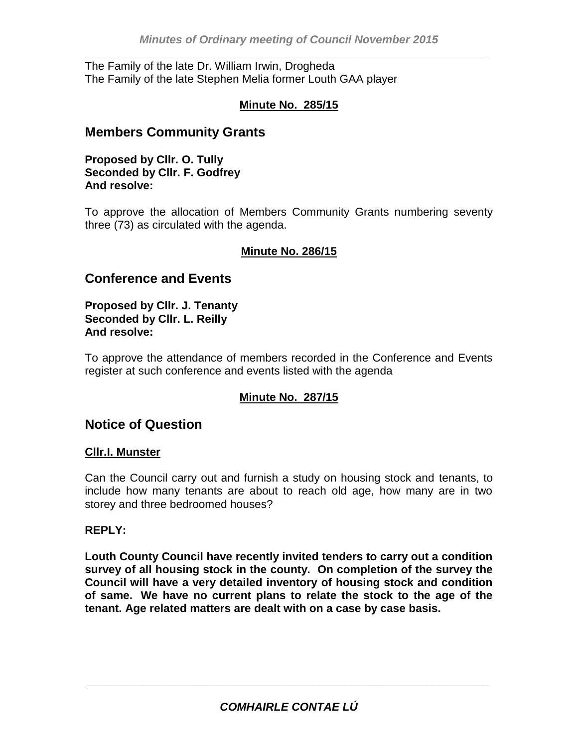The Family of the late Dr. William Irwin, Drogheda The Family of the late Stephen Melia former Louth GAA player

### **Minute No. 285/15**

## **Members Community Grants**

**Proposed by Cllr. O. Tully Seconded by Cllr. F. Godfrey And resolve:** 

To approve the allocation of Members Community Grants numbering seventy three (73) as circulated with the agenda.

#### **Minute No. 286/15**

## **Conference and Events**

**Proposed by Cllr. J. Tenanty Seconded by Cllr. L. Reilly And resolve:** 

To approve the attendance of members recorded in the Conference and Events register at such conference and events listed with the agenda

## **Minute No. 287/15**

## **Notice of Question**

#### **Cllr.I. Munster**

Can the Council carry out and furnish a study on housing stock and tenants, to include how many tenants are about to reach old age, how many are in two storey and three bedroomed houses?

#### **REPLY:**

**Louth County Council have recently invited tenders to carry out a condition survey of all housing stock in the county. On completion of the survey the Council will have a very detailed inventory of housing stock and condition of same. We have no current plans to relate the stock to the age of the tenant. Age related matters are dealt with on a case by case basis.**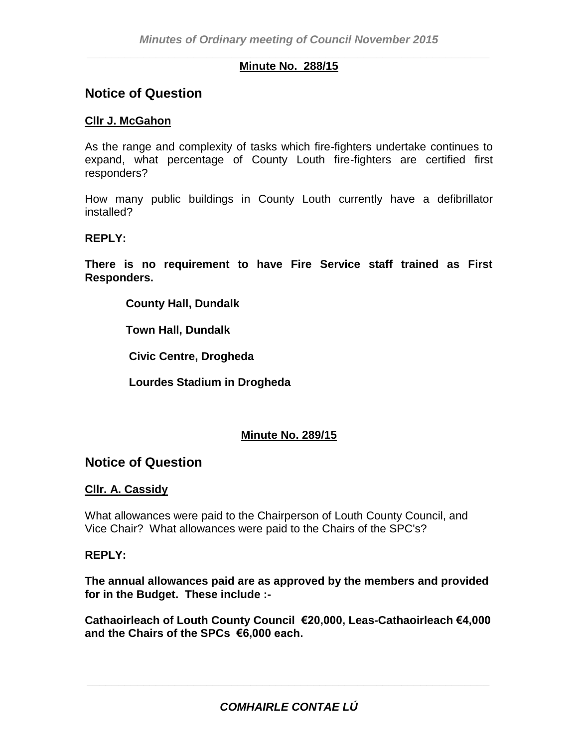#### *\_\_\_\_\_\_\_\_\_\_\_\_\_\_\_\_\_\_\_\_\_\_\_\_\_\_\_\_\_\_\_\_\_\_\_\_\_\_\_\_\_\_\_\_\_\_\_\_\_\_\_\_\_\_\_\_\_\_\_\_\_\_\_\_* **Minute No. 288/15**

## **Notice of Question**

#### **Cllr J. McGahon**

As the range and complexity of tasks which fire-fighters undertake continues to expand, what percentage of County Louth fire-fighters are certified first responders?

How many public buildings in County Louth currently have a defibrillator installed?

#### **REPLY:**

**There is no requirement to have Fire Service staff trained as First Responders.**

**County Hall, Dundalk**

 **Town Hall, Dundalk**

 **Civic Centre, Drogheda**

 **Lourdes Stadium in Drogheda**

## **Minute No. 289/15**

## **Notice of Question**

#### **Cllr. A. Cassidy**

What allowances were paid to the Chairperson of Louth County Council, and Vice Chair? What allowances were paid to the Chairs of the SPC's?

#### **REPLY:**

**The annual allowances paid are as approved by the members and provided for in the Budget. These include :-**

**Cathaoirleach of Louth County Council €20,000, Leas-Cathaoirleach €4,000 and the Chairs of the SPCs €6,000 each.**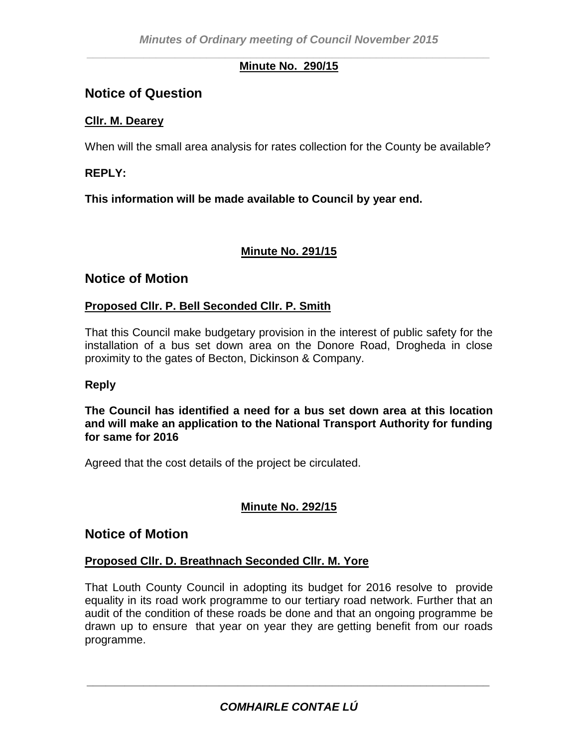#### *\_\_\_\_\_\_\_\_\_\_\_\_\_\_\_\_\_\_\_\_\_\_\_\_\_\_\_\_\_\_\_\_\_\_\_\_\_\_\_\_\_\_\_\_\_\_\_\_\_\_\_\_\_\_\_\_\_\_\_\_\_\_\_\_* **Minute No. 290/15**

# **Notice of Question**

## **Cllr. M. Dearey**

When will the small area analysis for rates collection for the County be available?

### **REPLY:**

**This information will be made available to Council by year end.**

#### **Minute No. 291/15**

## **Notice of Motion**

#### **Proposed Cllr. P. Bell Seconded Cllr. P. Smith**

That this Council make budgetary provision in the interest of public safety for the installation of a bus set down area on the Donore Road, Drogheda in close proximity to the gates of Becton, Dickinson & Company.

#### **Reply**

**The Council has identified a need for a bus set down area at this location and will make an application to the National Transport Authority for funding for same for 2016**

Agreed that the cost details of the project be circulated.

## **Minute No. 292/15**

## **Notice of Motion**

#### **Proposed Cllr. D. Breathnach Seconded Cllr. M. Yore**

That Louth County Council in adopting its budget for 2016 resolve to provide equality in its road work programme to our tertiary road network. Further that an audit of the condition of these roads be done and that an ongoing programme be drawn up to ensure that year on year they are getting benefit from our roads programme.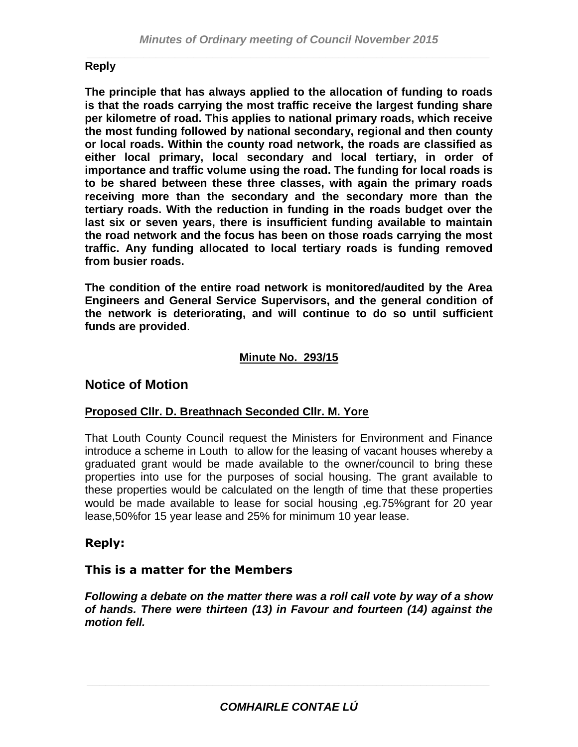## **Reply**

**The principle that has always applied to the allocation of funding to roads is that the roads carrying the most traffic receive the largest funding share per kilometre of road. This applies to national primary roads, which receive the most funding followed by national secondary, regional and then county or local roads. Within the county road network, the roads are classified as either local primary, local secondary and local tertiary, in order of importance and traffic volume using the road. The funding for local roads is to be shared between these three classes, with again the primary roads receiving more than the secondary and the secondary more than the tertiary roads. With the reduction in funding in the roads budget over the last six or seven years, there is insufficient funding available to maintain the road network and the focus has been on those roads carrying the most traffic. Any funding allocated to local tertiary roads is funding removed from busier roads.**

**The condition of the entire road network is monitored/audited by the Area Engineers and General Service Supervisors, and the general condition of the network is deteriorating, and will continue to do so until sufficient funds are provided**.

## **Minute No. 293/15**

## **Notice of Motion**

## **Proposed Cllr. D. Breathnach Seconded Cllr. M. Yore**

That Louth County Council request the Ministers for Environment and Finance introduce a scheme in Louth to allow for the leasing of vacant houses whereby a graduated grant would be made available to the owner/council to bring these properties into use for the purposes of social housing. The grant available to these properties would be calculated on the length of time that these properties would be made available to lease for social housing ,eg.75%grant for 20 year lease,50%for 15 year lease and 25% for minimum 10 year lease.

## **Reply:**

## **This is a matter for the Members**

*Following a debate on the matter there was a roll call vote by way of a show of hands. There were thirteen (13) in Favour and fourteen (14) against the motion fell.*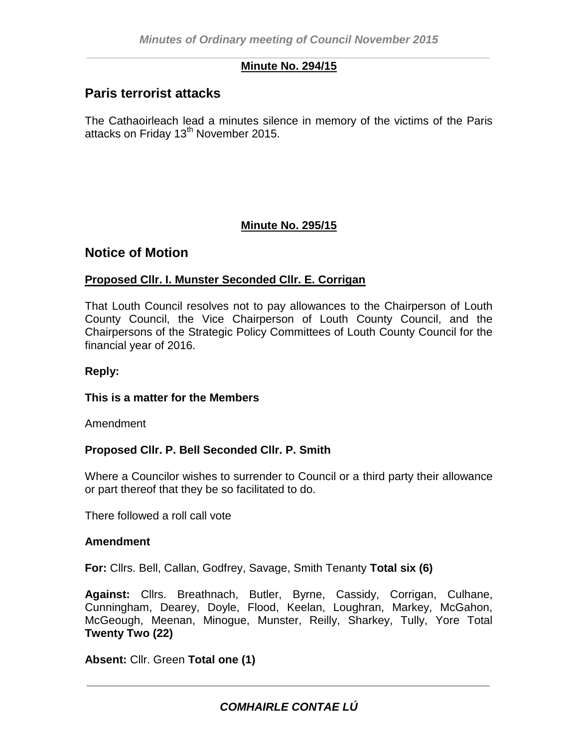#### *\_\_\_\_\_\_\_\_\_\_\_\_\_\_\_\_\_\_\_\_\_\_\_\_\_\_\_\_\_\_\_\_\_\_\_\_\_\_\_\_\_\_\_\_\_\_\_\_\_\_\_\_\_\_\_\_\_\_\_\_\_\_\_\_* **Minute No. 294/15**

# **Paris terrorist attacks**

The Cathaoirleach lead a minutes silence in memory of the victims of the Paris attacks on Friday 13<sup>th</sup> November 2015.

## **Minute No. 295/15**

## **Notice of Motion**

## **Proposed Cllr. I. Munster Seconded Cllr. E. Corrigan**

That Louth Council resolves not to pay allowances to the Chairperson of Louth County Council, the Vice Chairperson of Louth County Council, and the Chairpersons of the Strategic Policy Committees of Louth County Council for the financial year of 2016.

#### **Reply:**

#### **This is a matter for the Members**

Amendment

## **Proposed Cllr. P. Bell Seconded Cllr. P. Smith**

Where a Councilor wishes to surrender to Council or a third party their allowance or part thereof that they be so facilitated to do.

There followed a roll call vote

#### **Amendment**

**For:** Cllrs. Bell, Callan, Godfrey, Savage, Smith Tenanty **Total six (6)**

**Against:** Cllrs. Breathnach, Butler, Byrne, Cassidy, Corrigan, Culhane, Cunningham, Dearey, Doyle, Flood, Keelan, Loughran, Markey, McGahon, McGeough, Meenan, Minogue, Munster, Reilly, Sharkey, Tully, Yore Total **Twenty Two (22)**

**Absent:** Cllr. Green **Total one (1)**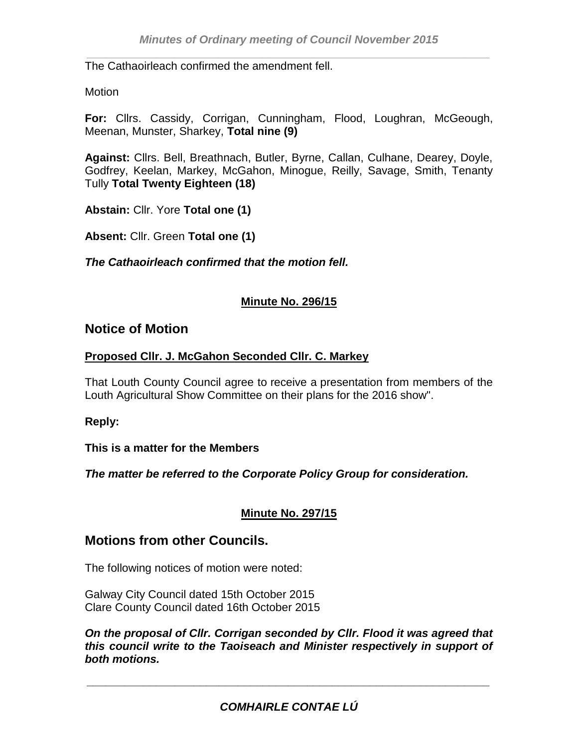The Cathaoirleach confirmed the amendment fell.

#### Motion

**For:** Cllrs. Cassidy, Corrigan, Cunningham, Flood, Loughran, McGeough, Meenan, Munster, Sharkey, **Total nine (9)**

**Against:** Cllrs. Bell, Breathnach, Butler, Byrne, Callan, Culhane, Dearey, Doyle, Godfrey, Keelan, Markey, McGahon, Minogue, Reilly, Savage, Smith, Tenanty Tully **Total Twenty Eighteen (18)**

**Abstain:** Cllr. Yore **Total one (1)**

**Absent:** Cllr. Green **Total one (1)**

*The Cathaoirleach confirmed that the motion fell.*

#### **Minute No. 296/15**

## **Notice of Motion**

#### **Proposed Cllr. J. McGahon Seconded Cllr. C. Markey**

That Louth County Council agree to receive a presentation from members of the Louth Agricultural Show Committee on their plans for the 2016 show".

#### **Reply:**

#### **This is a matter for the Members**

*The matter be referred to the Corporate Policy Group for consideration.* 

## **Minute No. 297/15**

## **Motions from other Councils.**

The following notices of motion were noted:

Galway City Council dated 15th October 2015 Clare County Council dated 16th October 2015

*On the proposal of Cllr. Corrigan seconded by Cllr. Flood it was agreed that this council write to the Taoiseach and Minister respectively in support of both motions.*